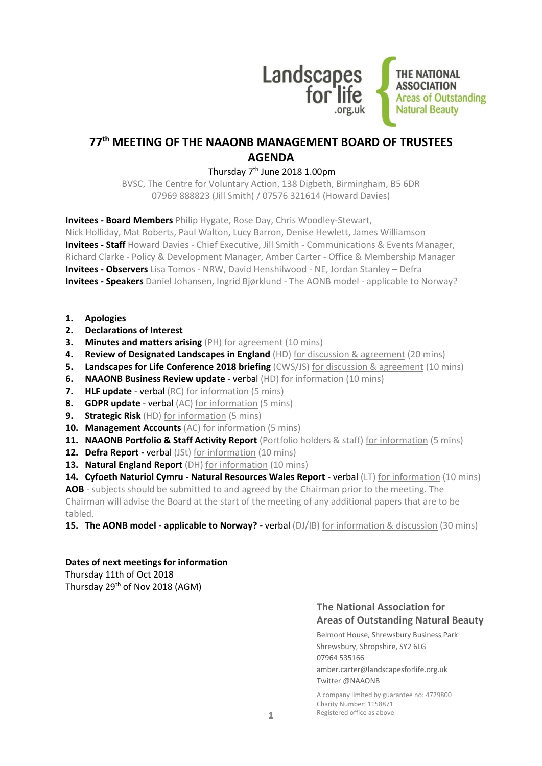

## **77th MEETING OF THE NAAONB MANAGEMENT BOARD OF TRUSTEES AGENDA**

## Thursday 7th June 2018 1.00pm

BVSC, The Centre for Voluntary Action, 138 Digbeth, Birmingham, B5 6DR 07969 888823 (Jill Smith) / 07576 321614 (Howard Davies)

**Invitees - Board Members** Philip Hygate, Rose Day, Chris Woodley-Stewart,

Nick Holliday, Mat Roberts, Paul Walton, Lucy Barron, Denise Hewlett, James Williamson **Invitees - Staff** Howard Davies - Chief Executive, Jill Smith - Communications & Events Manager, Richard Clarke - Policy & Development Manager, Amber Carter - Office & Membership Manager **Invitees - Observers** Lisa Tomos - NRW, David Henshilwood - NE, Jordan Stanley – Defra **Invitees - Speakers** Daniel Johansen, Ingrid Bjørklund - The AONB model - applicable to Norway?

- **1. Apologies**
- **2. Declarations of Interest**
- **3. Minutes and matters arising** (PH) for agreement (10 mins)
- **4. Review of Designated Landscapes in England** (HD) for discussion & agreement (20 mins)
- **5. Landscapes for Life Conference 2018 briefing** (CWS/JS) for discussion & agreement (10 mins)
- **6. NAAONB Business Review update** verbal (HD) for information (10 mins)
- **7. HLF update**  verbal (RC) for information (5 mins)
- **8. GDPR update**  verbal (AC) for information (5 mins)
- **9. Strategic Risk** (HD) for information (5 mins)
- **10. Management Accounts** (AC) for information (5 mins)
- **11. NAAONB Portfolio & Staff Activity Report** (Portfolio holders & staff) for information (5 mins)
- **12. Defra Report -** verbal (JSt) for information (10 mins)
- **13. Natural England Report** (DH) for information (10 mins)
- **14. Cyfoeth Naturiol Cymru - Natural Resources Wales Report** verbal (LT) for information (10 mins)

**AOB** - subjects should be submitted to and agreed by the Chairman prior to the meeting. The Chairman will advise the Board at the start of the meeting of any additional papers that are to be tabled.

**15. The AONB model - applicable to Norway? -** verbal (DJ/IB) for information & discussion (30 mins)

#### **Dates of next meetings for information**

Thursday 11th of Oct 2018 Thursday 29th of Nov 2018 (AGM)

## **The National Association for Areas of Outstanding Natural Beauty**

Belmont House, Shrewsbury Business Park Shrewsbury, Shropshire, SY2 6LG 07964 535166 amber.carter@landscapesforlife.org.uk Twitter @NAAONB

A company limited by guarantee no: 4729800 Charity Number: 1158871 Registered office as above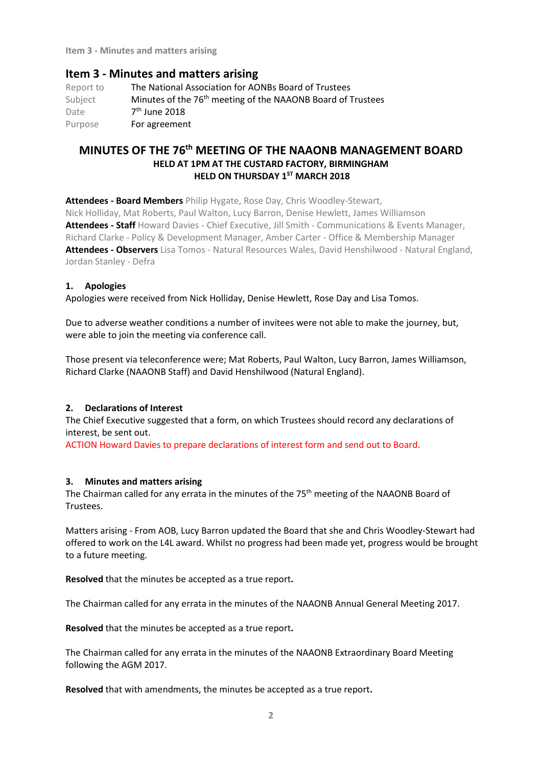**Item 3 - Minutes and matters arising**

## **Item 3 - Minutes and matters arising**

Report to The National Association for AONBs Board of Trustees Subject Minutes of the 76<sup>th</sup> meeting of the NAAONB Board of Trustees Date  $7<sup>th</sup>$  June 2018 Purpose **For agreement** 

## **MINUTES OF THE 76th MEETING OF THE NAAONB MANAGEMENT BOARD HELD AT 1PM AT THE CUSTARD FACTORY, BIRMINGHAM HELD ON THURSDAY 1ST MARCH 2018**

**Attendees - Board Members** Philip Hygate, Rose Day, Chris Woodley-Stewart, Nick Holliday, Mat Roberts, Paul Walton, Lucy Barron, Denise Hewlett, James Williamson **Attendees - Staff** Howard Davies - Chief Executive, Jill Smith - Communications & Events Manager, Richard Clarke - Policy & Development Manager, Amber Carter - Office & Membership Manager **Attendees - Observers** Lisa Tomos - Natural Resources Wales, David Henshilwood - Natural England, Jordan Stanley - Defra

#### **1. Apologies**

Apologies were received from Nick Holliday, Denise Hewlett, Rose Day and Lisa Tomos.

Due to adverse weather conditions a number of invitees were not able to make the journey, but, were able to join the meeting via conference call.

Those present via teleconference were; Mat Roberts, Paul Walton, Lucy Barron, James Williamson, Richard Clarke (NAAONB Staff) and David Henshilwood (Natural England).

#### **2. Declarations of Interest**

The Chief Executive suggested that a form, on which Trustees should record any declarations of interest, be sent out.

ACTION Howard Davies to prepare declarations of interest form and send out to Board.

#### **3. Minutes and matters arising**

The Chairman called for any errata in the minutes of the 75<sup>th</sup> meeting of the NAAONB Board of Trustees.

Matters arising - From AOB, Lucy Barron updated the Board that she and Chris Woodley-Stewart had offered to work on the L4L award. Whilst no progress had been made yet, progress would be brought to a future meeting.

**Resolved** that the minutes be accepted as a true report**.**

The Chairman called for any errata in the minutes of the NAAONB Annual General Meeting 2017.

**Resolved** that the minutes be accepted as a true report**.**

The Chairman called for any errata in the minutes of the NAAONB Extraordinary Board Meeting following the AGM 2017.

**Resolved** that with amendments, the minutes be accepted as a true report**.**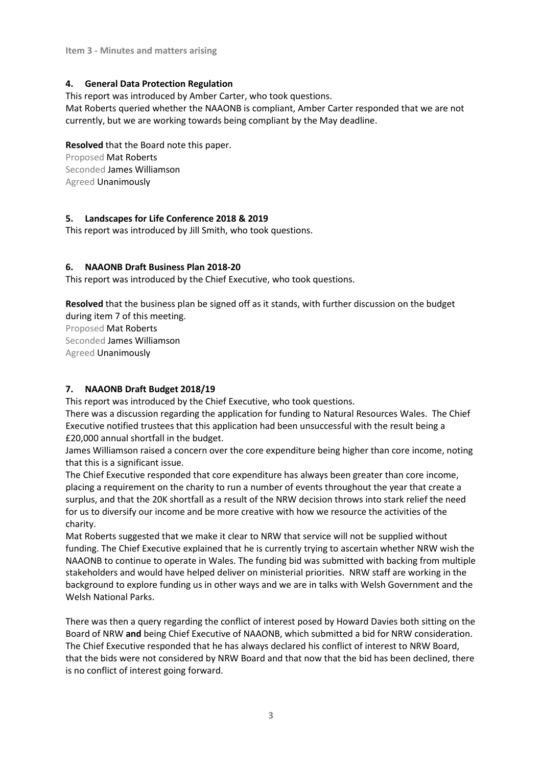## **4. General Data Protection Regulation**

This report was introduced by Amber Carter, who took questions. Mat Roberts queried whether the NAAONB is compliant, Amber Carter responded that we are not currently, but we are working towards being compliant by the May deadline.

**Resolved** that the Board note this paper. Proposed Mat Roberts Seconded James Williamson Agreed Unanimously

### **5. Landscapes for Life Conference 2018 & 2019**

This report was introduced by Jill Smith, who took questions.

### **6. NAAONB Draft Business Plan 2018-20**

This report was introduced by the Chief Executive, who took questions.

**Resolved** that the business plan be signed off as it stands, with further discussion on the budget during item 7 of this meeting.

Proposed Mat Roberts Seconded James Williamson Agreed Unanimously

## **7. NAAONB Draft Budget 2018/19**

This report was introduced by the Chief Executive, who took questions.

There was a discussion regarding the application for funding to Natural Resources Wales. The Chief Executive notified trustees that this application had been unsuccessful with the result being a £20,000 annual shortfall in the budget.

James Williamson raised a concern over the core expenditure being higher than core income, noting that this is a significant issue.

The Chief Executive responded that core expenditure has always been greater than core income, placing a requirement on the charity to run a number of events throughout the year that create a surplus, and that the 20K shortfall as a result of the NRW decision throws into stark relief the need for us to diversify our income and be more creative with how we resource the activities of the charity.

Mat Roberts suggested that we make it clear to NRW that service will not be supplied without funding. The Chief Executive explained that he is currently trying to ascertain whether NRW wish the NAAONB to continue to operate in Wales. The funding bid was submitted with backing from multiple stakeholders and would have helped deliver on ministerial priorities. NRW staff are working in the background to explore funding us in other ways and we are in talks with Welsh Government and the Welsh National Parks.

There was then a query regarding the conflict of interest posed by Howard Davies both sitting on the Board of NRW **and** being Chief Executive of NAAONB, which submitted a bid for NRW consideration. The Chief Executive responded that he has always declared his conflict of interest to NRW Board, that the bids were not considered by NRW Board and that now that the bid has been declined, there is no conflict of interest going forward.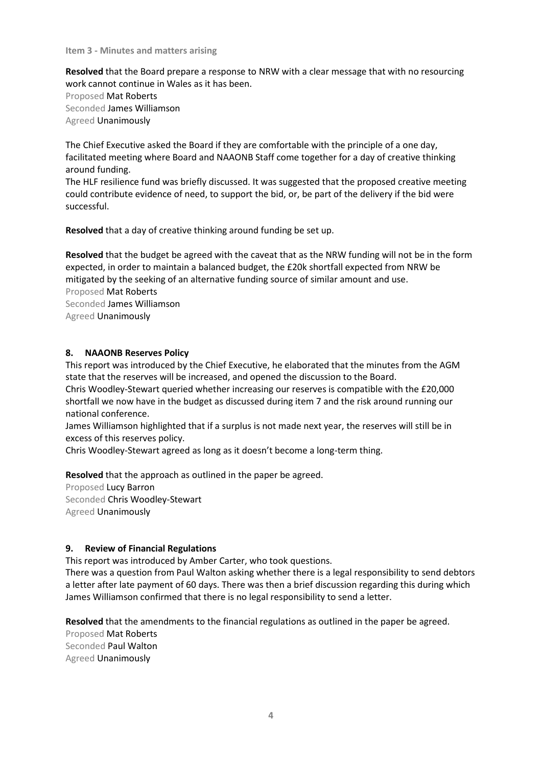#### **Item 3 - Minutes and matters arising**

**Resolved** that the Board prepare a response to NRW with a clear message that with no resourcing work cannot continue in Wales as it has been.

Proposed Mat Roberts Seconded James Williamson Agreed Unanimously

The Chief Executive asked the Board if they are comfortable with the principle of a one day, facilitated meeting where Board and NAAONB Staff come together for a day of creative thinking around funding.

The HLF resilience fund was briefly discussed. It was suggested that the proposed creative meeting could contribute evidence of need, to support the bid, or, be part of the delivery if the bid were successful.

**Resolved** that a day of creative thinking around funding be set up.

**Resolved** that the budget be agreed with the caveat that as the NRW funding will not be in the form expected, in order to maintain a balanced budget, the £20k shortfall expected from NRW be mitigated by the seeking of an alternative funding source of similar amount and use. Proposed Mat Roberts Seconded James Williamson Agreed Unanimously

#### **8. NAAONB Reserves Policy**

This report was introduced by the Chief Executive, he elaborated that the minutes from the AGM state that the reserves will be increased, and opened the discussion to the Board.

Chris Woodley-Stewart queried whether increasing our reserves is compatible with the £20,000 shortfall we now have in the budget as discussed during item 7 and the risk around running our national conference.

James Williamson highlighted that if a surplus is not made next year, the reserves will still be in excess of this reserves policy.

Chris Woodley-Stewart agreed as long as it doesn't become a long-term thing.

**Resolved** that the approach as outlined in the paper be agreed.

Proposed Lucy Barron Seconded Chris Woodley-Stewart Agreed Unanimously

#### **9. Review of Financial Regulations**

This report was introduced by Amber Carter, who took questions.

There was a question from Paul Walton asking whether there is a legal responsibility to send debtors a letter after late payment of 60 days. There was then a brief discussion regarding this during which James Williamson confirmed that there is no legal responsibility to send a letter.

**Resolved** that the amendments to the financial regulations as outlined in the paper be agreed. Proposed Mat Roberts Seconded Paul Walton Agreed Unanimously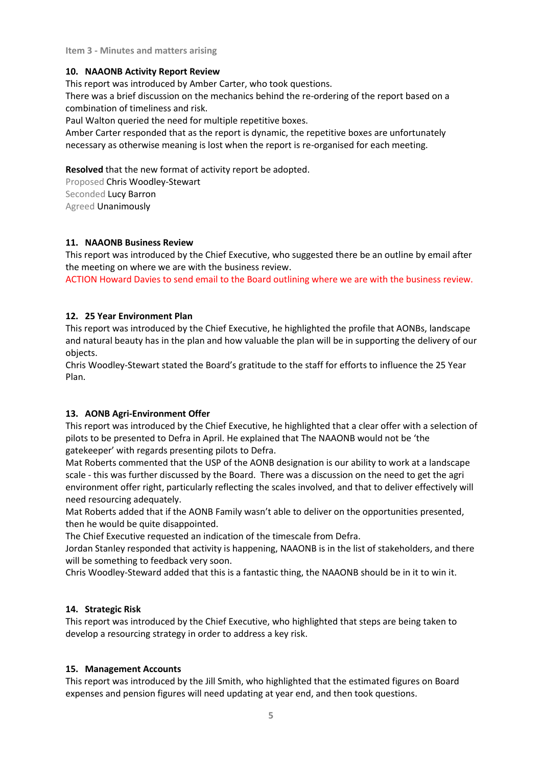**Item 3 - Minutes and matters arising**

### **10. NAAONB Activity Report Review**

This report was introduced by Amber Carter, who took questions.

There was a brief discussion on the mechanics behind the re-ordering of the report based on a combination of timeliness and risk.

Paul Walton queried the need for multiple repetitive boxes.

Amber Carter responded that as the report is dynamic, the repetitive boxes are unfortunately necessary as otherwise meaning is lost when the report is re-organised for each meeting.

**Resolved** that the new format of activity report be adopted.

Proposed Chris Woodley-Stewart Seconded Lucy Barron Agreed Unanimously

### **11. NAAONB Business Review**

This report was introduced by the Chief Executive, who suggested there be an outline by email after the meeting on where we are with the business review.

ACTION Howard Davies to send email to the Board outlining where we are with the business review.

### **12. 25 Year Environment Plan**

This report was introduced by the Chief Executive, he highlighted the profile that AONBs, landscape and natural beauty has in the plan and how valuable the plan will be in supporting the delivery of our objects.

Chris Woodley-Stewart stated the Board's gratitude to the staff for efforts to influence the 25 Year Plan.

## **13. AONB Agri-Environment Offer**

This report was introduced by the Chief Executive, he highlighted that a clear offer with a selection of pilots to be presented to Defra in April. He explained that The NAAONB would not be 'the gatekeeper' with regards presenting pilots to Defra.

Mat Roberts commented that the USP of the AONB designation is our ability to work at a landscape scale - this was further discussed by the Board. There was a discussion on the need to get the agri environment offer right, particularly reflecting the scales involved, and that to deliver effectively will need resourcing adequately.

Mat Roberts added that if the AONB Family wasn't able to deliver on the opportunities presented, then he would be quite disappointed.

The Chief Executive requested an indication of the timescale from Defra.

Jordan Stanley responded that activity is happening, NAAONB is in the list of stakeholders, and there will be something to feedback very soon.

Chris Woodley-Steward added that this is a fantastic thing, the NAAONB should be in it to win it.

## **14. Strategic Risk**

This report was introduced by the Chief Executive, who highlighted that steps are being taken to develop a resourcing strategy in order to address a key risk.

## **15. Management Accounts**

This report was introduced by the Jill Smith, who highlighted that the estimated figures on Board expenses and pension figures will need updating at year end, and then took questions.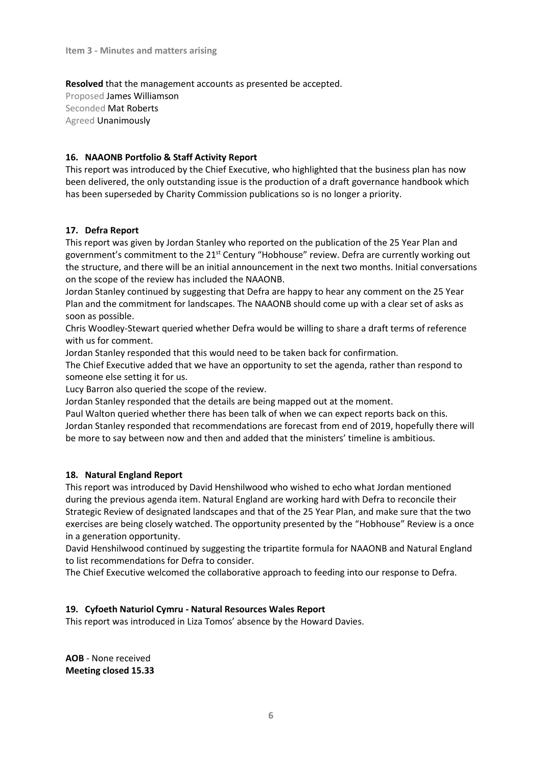**Resolved** that the management accounts as presented be accepted.

Proposed James Williamson Seconded Mat Roberts Agreed Unanimously

## **16. NAAONB Portfolio & Staff Activity Report**

This report was introduced by the Chief Executive, who highlighted that the business plan has now been delivered, the only outstanding issue is the production of a draft governance handbook which has been superseded by Charity Commission publications so is no longer a priority.

## **17. Defra Report**

This report was given by Jordan Stanley who reported on the publication of the 25 Year Plan and government's commitment to the 21<sup>st</sup> Century "Hobhouse" review. Defra are currently working out the structure, and there will be an initial announcement in the next two months. Initial conversations on the scope of the review has included the NAAONB.

Jordan Stanley continued by suggesting that Defra are happy to hear any comment on the 25 Year Plan and the commitment for landscapes. The NAAONB should come up with a clear set of asks as soon as possible.

Chris Woodley-Stewart queried whether Defra would be willing to share a draft terms of reference with us for comment.

Jordan Stanley responded that this would need to be taken back for confirmation.

The Chief Executive added that we have an opportunity to set the agenda, rather than respond to someone else setting it for us.

Lucy Barron also queried the scope of the review.

Jordan Stanley responded that the details are being mapped out at the moment.

Paul Walton queried whether there has been talk of when we can expect reports back on this. Jordan Stanley responded that recommendations are forecast from end of 2019, hopefully there will be more to say between now and then and added that the ministers' timeline is ambitious.

## **18. Natural England Report**

This report was introduced by David Henshilwood who wished to echo what Jordan mentioned during the previous agenda item. Natural England are working hard with Defra to reconcile their Strategic Review of designated landscapes and that of the 25 Year Plan, and make sure that the two exercises are being closely watched. The opportunity presented by the "Hobhouse" Review is a once in a generation opportunity.

David Henshilwood continued by suggesting the tripartite formula for NAAONB and Natural England to list recommendations for Defra to consider.

The Chief Executive welcomed the collaborative approach to feeding into our response to Defra.

## **19. Cyfoeth Naturiol Cymru - Natural Resources Wales Report**

This report was introduced in Liza Tomos' absence by the Howard Davies.

**AOB** - None received **Meeting closed 15.33**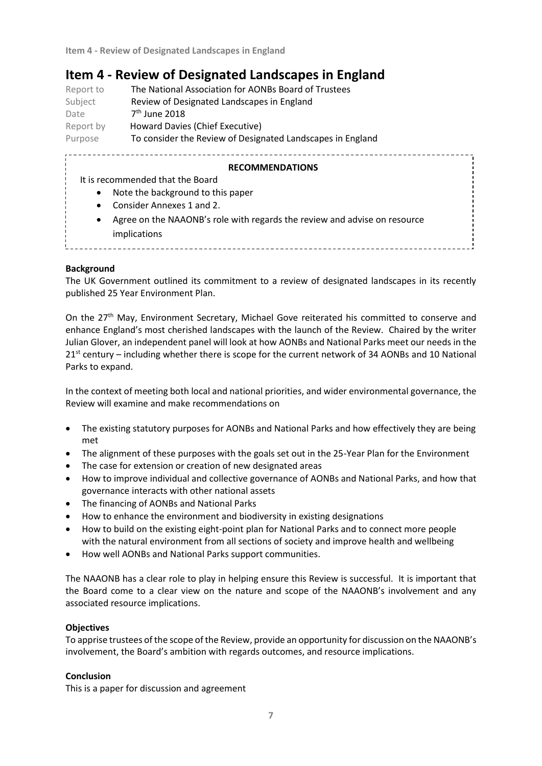# **Item 4 - Review of Designated Landscapes in England**

| Report to | The National Association for AONBs Board of Trustees       |
|-----------|------------------------------------------------------------|
| Subject   | Review of Designated Landscapes in England                 |
| Date      | 7 <sup>th</sup> June 2018                                  |
| Report by | Howard Davies (Chief Executive)                            |
| Purpose   | To consider the Review of Designated Landscapes in England |

#### **RECOMMENDATIONS**

- It is recommended that the Board
	- Note the background to this paper
	- Consider Annexes 1 and 2.
	- Agree on the NAAONB's role with regards the review and advise on resource implications

\_\_\_\_\_\_\_\_\_\_\_\_\_\_\_\_\_\_\_\_\_\_\_\_\_\_\_\_\_\_\_\_\_\_\_\_\_

#### **Background**

The UK Government outlined its commitment to a review of designated landscapes in its recently published 25 Year Environment Plan.

On the 27<sup>th</sup> May, Environment Secretary, Michael Gove reiterated his committed to conserve and enhance England's most cherished landscapes with the launch of the Review. Chaired by the writer Julian Glover, an independent panel will look at how AONBs and National Parks meet our needs in the 21<sup>st</sup> century – including whether there is scope for the current network of 34 AONBs and 10 National Parks to expand.

In the context of meeting both local and national priorities, and wider environmental governance, the Review will examine and make recommendations on

- The existing statutory purposes for AONBs and National Parks and how effectively they are being met
- The alignment of these purposes with the goals set out in the 25-Year Plan for the Environment
- The case for extension or creation of new designated areas
- How to improve individual and collective governance of AONBs and National Parks, and how that governance interacts with other national assets
- The financing of AONBs and National Parks
- How to enhance the environment and biodiversity in existing designations
- How to build on the existing eight-point plan for National Parks and to connect more people with the natural environment from all sections of society and improve health and wellbeing
- How well AONBs and National Parks support communities.

The NAAONB has a clear role to play in helping ensure this Review is successful. It is important that the Board come to a clear view on the nature and scope of the NAAONB's involvement and any associated resource implications.

#### **Objectives**

To apprise trustees of the scope of the Review, provide an opportunity for discussion on the NAAONB's involvement, the Board's ambition with regards outcomes, and resource implications.

#### **Conclusion**

This is a paper for discussion and agreement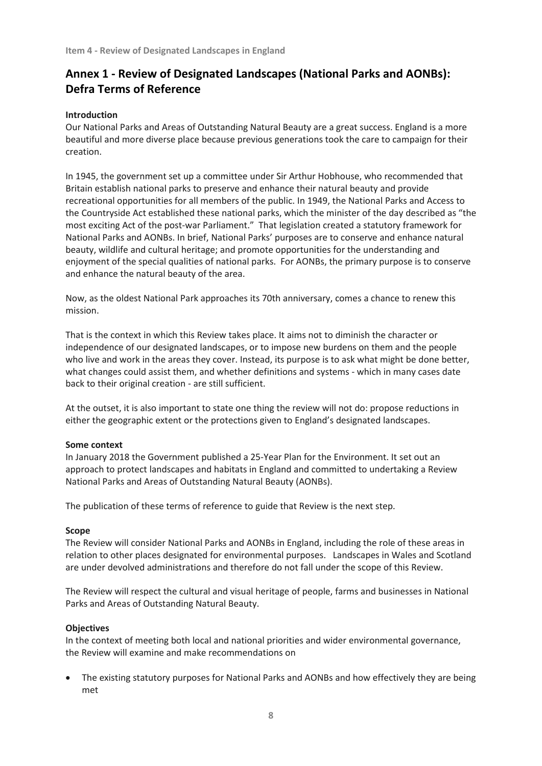# **Annex 1 - Review of Designated Landscapes (National Parks and AONBs): Defra Terms of Reference**

#### **Introduction**

Our National Parks and Areas of Outstanding Natural Beauty are a great success. England is a more beautiful and more diverse place because previous generations took the care to campaign for their creation.

In 1945, the government set up a committee under Sir Arthur Hobhouse, who recommended that Britain establish national parks to preserve and enhance their natural beauty and provide recreational opportunities for all members of the public. In 1949, the National Parks and Access to the Countryside Act established these national parks, which the minister of the day described as "the most exciting Act of the post-war Parliament." That legislation created a statutory framework for National Parks and AONBs. In brief, National Parks' purposes are to conserve and enhance natural beauty, wildlife and cultural heritage; and promote opportunities for the understanding and enjoyment of the special qualities of national parks. For AONBs, the primary purpose is to conserve and enhance the natural beauty of the area.

Now, as the oldest National Park approaches its 70th anniversary, comes a chance to renew this mission.

That is the context in which this Review takes place. It aims not to diminish the character or independence of our designated landscapes, or to impose new burdens on them and the people who live and work in the areas they cover. Instead, its purpose is to ask what might be done better, what changes could assist them, and whether definitions and systems - which in many cases date back to their original creation - are still sufficient.

At the outset, it is also important to state one thing the review will not do: propose reductions in either the geographic extent or the protections given to England's designated landscapes.

#### **Some context**

In January 2018 the Government published a 25-Year Plan for the Environment. It set out an approach to protect landscapes and habitats in England and committed to undertaking a Review National Parks and Areas of Outstanding Natural Beauty (AONBs).

The publication of these terms of reference to guide that Review is the next step.

#### **Scope**

The Review will consider National Parks and AONBs in England, including the role of these areas in relation to other places designated for environmental purposes. Landscapes in Wales and Scotland are under devolved administrations and therefore do not fall under the scope of this Review.

The Review will respect the cultural and visual heritage of people, farms and businesses in National Parks and Areas of Outstanding Natural Beauty.

#### **Objectives**

In the context of meeting both local and national priorities and wider environmental governance, the Review will examine and make recommendations on

• The existing statutory purposes for National Parks and AONBs and how effectively they are being met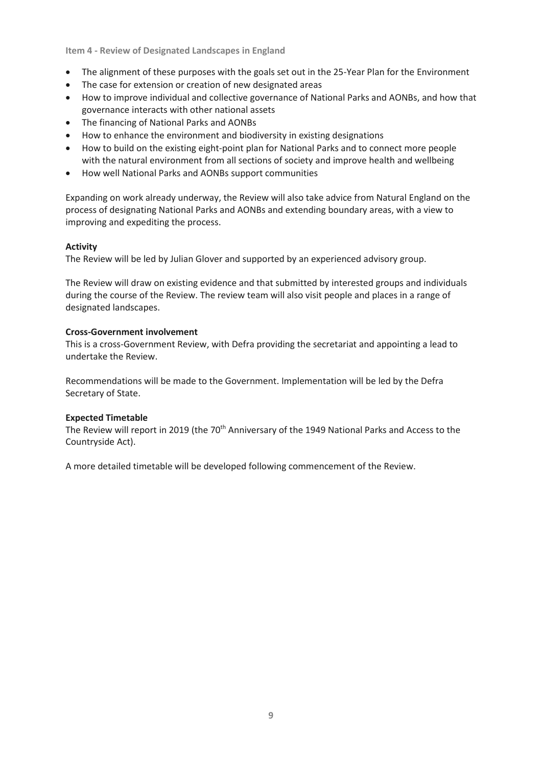**Item 4 - Review of Designated Landscapes in England**

- The alignment of these purposes with the goals set out in the 25-Year Plan for the Environment
- The case for extension or creation of new designated areas
- How to improve individual and collective governance of National Parks and AONBs, and how that governance interacts with other national assets
- The financing of National Parks and AONBs
- How to enhance the environment and biodiversity in existing designations
- How to build on the existing eight-point plan for National Parks and to connect more people with the natural environment from all sections of society and improve health and wellbeing
- How well National Parks and AONBs support communities

Expanding on work already underway, the Review will also take advice from Natural England on the process of designating National Parks and AONBs and extending boundary areas, with a view to improving and expediting the process.

#### **Activity**

The Review will be led by Julian Glover and supported by an experienced advisory group.

The Review will draw on existing evidence and that submitted by interested groups and individuals during the course of the Review. The review team will also visit people and places in a range of designated landscapes.

#### **Cross-Government involvement**

This is a cross-Government Review, with Defra providing the secretariat and appointing a lead to undertake the Review.

Recommendations will be made to the Government. Implementation will be led by the Defra Secretary of State.

#### **Expected Timetable**

The Review will report in 2019 (the 70<sup>th</sup> Anniversary of the 1949 National Parks and Access to the Countryside Act).

A more detailed timetable will be developed following commencement of the Review.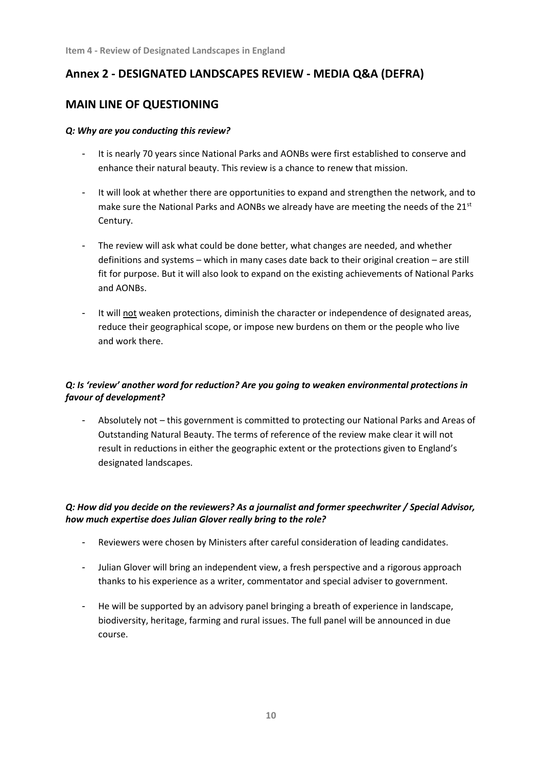# **Annex 2 - DESIGNATED LANDSCAPES REVIEW - MEDIA Q&A (DEFRA)**

## **MAIN LINE OF QUESTIONING**

## *Q: Why are you conducting this review?*

- It is nearly 70 years since National Parks and AONBs were first established to conserve and enhance their natural beauty. This review is a chance to renew that mission.
- It will look at whether there are opportunities to expand and strengthen the network, and to make sure the National Parks and AONBs we already have are meeting the needs of the  $21^{st}$ Century.
- The review will ask what could be done better, what changes are needed, and whether definitions and systems – which in many cases date back to their original creation – are still fit for purpose. But it will also look to expand on the existing achievements of National Parks and AONBs.
- It will not weaken protections, diminish the character or independence of designated areas, reduce their geographical scope, or impose new burdens on them or the people who live and work there.

## *Q: Is 'review' another word for reduction? Are you going to weaken environmental protections in favour of development?*

Absolutely not – this government is committed to protecting our National Parks and Areas of Outstanding Natural Beauty. The terms of reference of the review make clear it will not result in reductions in either the geographic extent or the protections given to England's designated landscapes.

## *Q: How did you decide on the reviewers? As a journalist and former speechwriter / Special Advisor, how much expertise does Julian Glover really bring to the role?*

- Reviewers were chosen by Ministers after careful consideration of leading candidates.
- Julian Glover will bring an independent view, a fresh perspective and a rigorous approach thanks to his experience as a writer, commentator and special adviser to government.
- He will be supported by an advisory panel bringing a breath of experience in landscape, biodiversity, heritage, farming and rural issues. The full panel will be announced in due course.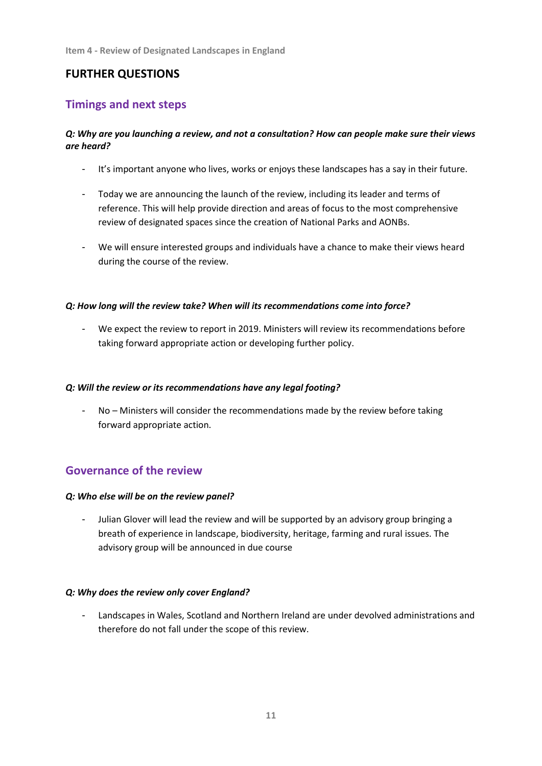## **FURTHER QUESTIONS**

## **Timings and next steps**

## *Q: Why are you launching a review, and not a consultation? How can people make sure their views are heard?*

- It's important anyone who lives, works or enjoys these landscapes has a say in their future.
- Today we are announcing the launch of the review, including its leader and terms of reference. This will help provide direction and areas of focus to the most comprehensive review of designated spaces since the creation of National Parks and AONBs.
- We will ensure interested groups and individuals have a chance to make their views heard during the course of the review.

#### *Q: How long will the review take? When will its recommendations come into force?*

- We expect the review to report in 2019. Ministers will review its recommendations before taking forward appropriate action or developing further policy.

#### *Q: Will the review or its recommendations have any legal footing?*

- No – Ministers will consider the recommendations made by the review before taking forward appropriate action.

## **Governance of the review**

#### *Q: Who else will be on the review panel?*

Julian Glover will lead the review and will be supported by an advisory group bringing a breath of experience in landscape, biodiversity, heritage, farming and rural issues. The advisory group will be announced in due course

#### *Q: Why does the review only cover England?*

- Landscapes in Wales, Scotland and Northern Ireland are under devolved administrations and therefore do not fall under the scope of this review.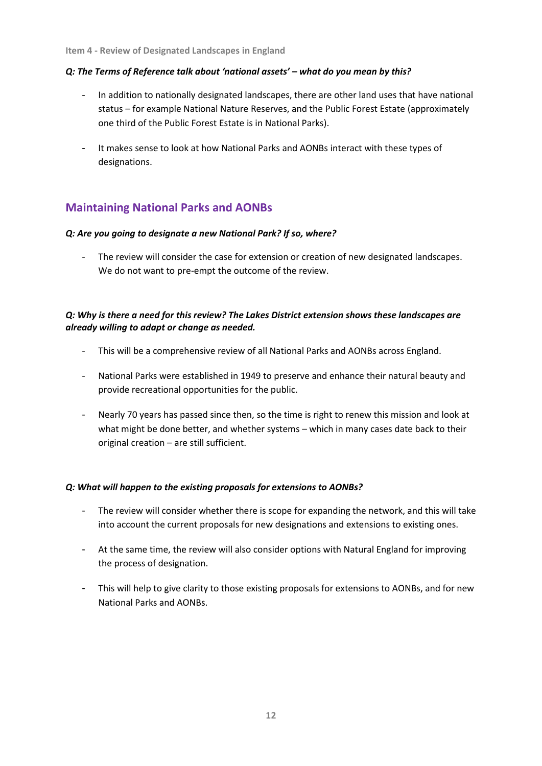#### *Q: The Terms of Reference talk about 'national assets' – what do you mean by this?*

- In addition to nationally designated landscapes, there are other land uses that have national status – for example National Nature Reserves, and the Public Forest Estate (approximately one third of the Public Forest Estate is in National Parks).
- It makes sense to look at how National Parks and AONBs interact with these types of designations.

## **Maintaining National Parks and AONBs**

### *Q: Are you going to designate a new National Park? If so, where?*

The review will consider the case for extension or creation of new designated landscapes. We do not want to pre-empt the outcome of the review.

## *Q: Why is there a need for this review? The Lakes District extension shows these landscapes are already willing to adapt or change as needed.*

- This will be a comprehensive review of all National Parks and AONBs across England.
- National Parks were established in 1949 to preserve and enhance their natural beauty and provide recreational opportunities for the public.
- Nearly 70 years has passed since then, so the time is right to renew this mission and look at what might be done better, and whether systems – which in many cases date back to their original creation – are still sufficient.

## *Q: What will happen to the existing proposals for extensions to AONBs?*

- The review will consider whether there is scope for expanding the network, and this will take into account the current proposals for new designations and extensions to existing ones.
- At the same time, the review will also consider options with Natural England for improving the process of designation.
- This will help to give clarity to those existing proposals for extensions to AONBs, and for new National Parks and AONBs.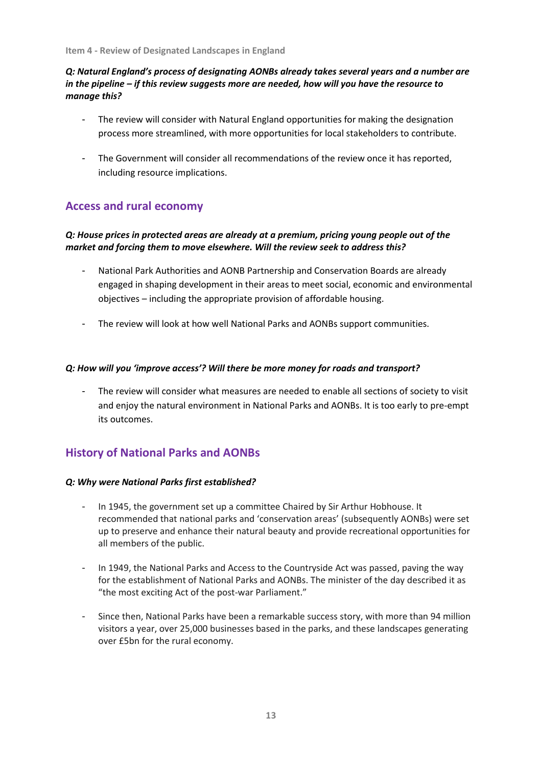## *Q: Natural England's process of designating AONBs already takes several years and a number are in the pipeline – if this review suggests more are needed, how will you have the resource to manage this?*

- The review will consider with Natural England opportunities for making the designation process more streamlined, with more opportunities for local stakeholders to contribute.
- The Government will consider all recommendations of the review once it has reported, including resource implications.

## **Access and rural economy**

## *Q: House prices in protected areas are already at a premium, pricing young people out of the market and forcing them to move elsewhere. Will the review seek to address this?*

- National Park Authorities and AONB Partnership and Conservation Boards are already engaged in shaping development in their areas to meet social, economic and environmental objectives – including the appropriate provision of affordable housing.
- The review will look at how well National Parks and AONBs support communities.

### *Q: How will you 'improve access'? Will there be more money for roads and transport?*

The review will consider what measures are needed to enable all sections of society to visit and enjoy the natural environment in National Parks and AONBs. It is too early to pre-empt its outcomes.

## **History of National Parks and AONBs**

#### *Q: Why were National Parks first established?*

- In 1945, the government set up a committee Chaired by Sir Arthur Hobhouse. It recommended that national parks and 'conservation areas' (subsequently AONBs) were set up to preserve and enhance their natural beauty and provide recreational opportunities for all members of the public.
- In 1949, the National Parks and Access to the Countryside Act was passed, paving the way for the establishment of National Parks and AONBs. The minister of the day described it as "the most exciting Act of the post-war Parliament."
- Since then, National Parks have been a remarkable success story, with more than 94 million visitors a year, over 25,000 businesses based in the parks, and these landscapes generating over £5bn for the rural economy.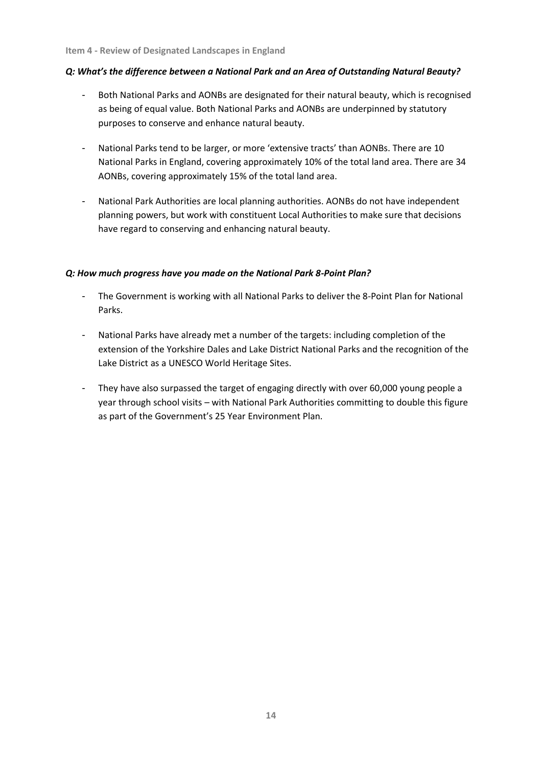### *Q: What's the difference between a National Park and an Area of Outstanding Natural Beauty?*

- Both National Parks and AONBs are designated for their natural beauty, which is recognised as being of equal value. Both National Parks and AONBs are underpinned by statutory purposes to conserve and enhance natural beauty.
- National Parks tend to be larger, or more 'extensive tracts' than AONBs. There are 10 National Parks in England, covering approximately 10% of the total land area. There are 34 AONBs, covering approximately 15% of the total land area.
- National Park Authorities are local planning authorities. AONBs do not have independent planning powers, but work with constituent Local Authorities to make sure that decisions have regard to conserving and enhancing natural beauty.

### *Q: How much progress have you made on the National Park 8-Point Plan?*

- The Government is working with all National Parks to deliver the 8-Point Plan for National Parks.
- National Parks have already met a number of the targets: including completion of the extension of the Yorkshire Dales and Lake District National Parks and the recognition of the Lake District as a UNESCO World Heritage Sites.
- They have also surpassed the target of engaging directly with over 60,000 young people a year through school visits – with National Park Authorities committing to double this figure as part of the Government's 25 Year Environment Plan.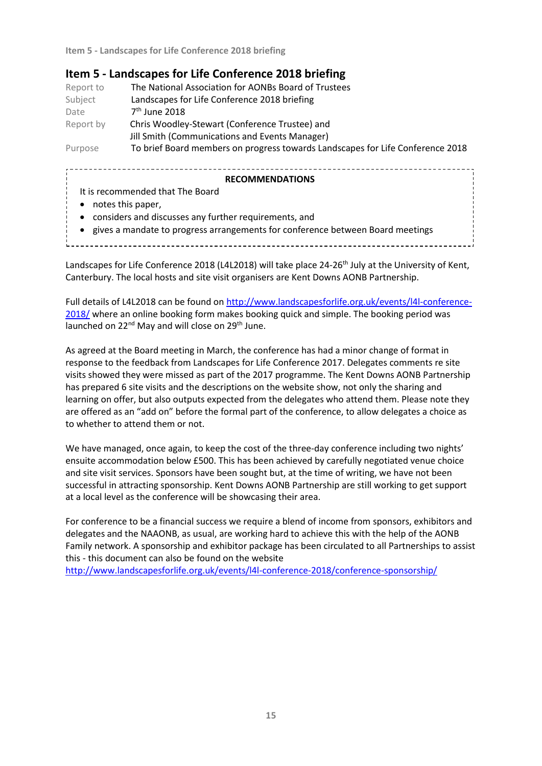## **Item 5 - Landscapes for Life Conference 2018 briefing**

| Report to | The National Association for AONBs Board of Trustees                           |
|-----------|--------------------------------------------------------------------------------|
| Subject   | Landscapes for Life Conference 2018 briefing                                   |
| Date      | $7th$ June 2018                                                                |
| Report by | Chris Woodley-Stewart (Conference Trustee) and                                 |
|           | Jill Smith (Communications and Events Manager)                                 |
| Purpose   | To brief Board members on progress towards Landscapes for Life Conference 2018 |

#### **RECOMMENDATIONS**

- It is recommended that The Board
- notes this paper,
- considers and discusses any further requirements, and
- gives a mandate to progress arrangements for conference between Board meetings

Landscapes for Life Conference 2018 (L4L2018) will take place 24-26<sup>th</sup> July at the University of Kent, Canterbury. The local hosts and site visit organisers are Kent Downs AONB Partnership.

Full details of L4L2018 can be found o[n http://www.landscapesforlife.org.uk/events/l4l-conference-](http://www.landscapesforlife.org.uk/events/l4l-conference-2018/)[2018/](http://www.landscapesforlife.org.uk/events/l4l-conference-2018/) where an online booking form makes booking quick and simple. The booking period was launched on  $22^{nd}$  May and will close on  $29^{th}$  June.

As agreed at the Board meeting in March, the conference has had a minor change of format in response to the feedback from Landscapes for Life Conference 2017. Delegates comments re site visits showed they were missed as part of the 2017 programme. The Kent Downs AONB Partnership has prepared 6 site visits and the descriptions on the website show, not only the sharing and learning on offer, but also outputs expected from the delegates who attend them. Please note they are offered as an "add on" before the formal part of the conference, to allow delegates a choice as to whether to attend them or not.

We have managed, once again, to keep the cost of the three-day conference including two nights' ensuite accommodation below £500. This has been achieved by carefully negotiated venue choice and site visit services. Sponsors have been sought but, at the time of writing, we have not been successful in attracting sponsorship. Kent Downs AONB Partnership are still working to get support at a local level as the conference will be showcasing their area.

For conference to be a financial success we require a blend of income from sponsors, exhibitors and delegates and the NAAONB, as usual, are working hard to achieve this with the help of the AONB Family network. A sponsorship and exhibitor package has been circulated to all Partnerships to assist this - this document can also be found on the website

<http://www.landscapesforlife.org.uk/events/l4l-conference-2018/conference-sponsorship/>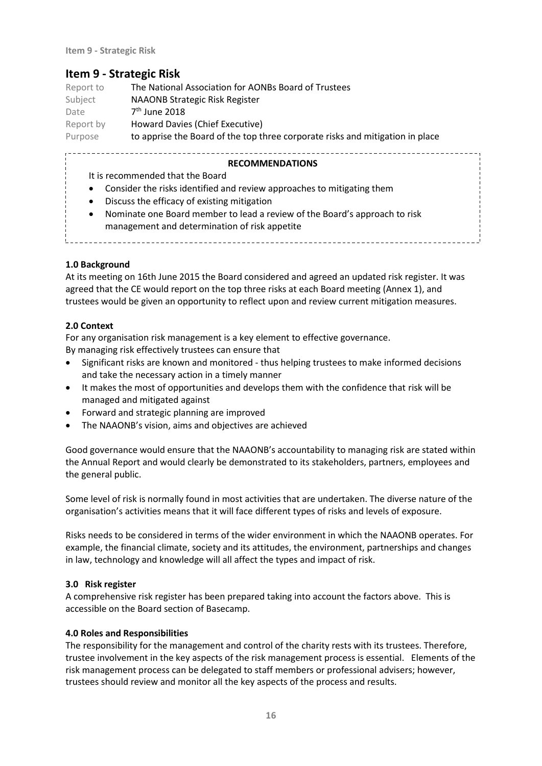## **Item 9 - Strategic Risk**

| Report to | The National Association for AONBs Board of Trustees                          |
|-----------|-------------------------------------------------------------------------------|
| Subject   | <b>NAAONB Strategic Risk Register</b>                                         |
| Date      | $7th$ June 2018                                                               |
| Report by | Howard Davies (Chief Executive)                                               |
| Purpose   | to apprise the Board of the top three corporate risks and mitigation in place |

### **RECOMMENDATIONS**

- It is recommended that the Board
- Consider the risks identified and review approaches to mitigating them

- Discuss the efficacy of existing mitigation
- Nominate one Board member to lead a review of the Board's approach to risk management and determination of risk appetite

#### **1.0 Background**

At its meeting on 16th June 2015 the Board considered and agreed an updated risk register. It was agreed that the CE would report on the top three risks at each Board meeting (Annex 1), and trustees would be given an opportunity to reflect upon and review current mitigation measures.

### **2.0 Context**

For any organisation risk management is a key element to effective governance. By managing risk effectively trustees can ensure that

- Significant risks are known and monitored thus helping trustees to make informed decisions and take the necessary action in a timely manner
- It makes the most of opportunities and develops them with the confidence that risk will be managed and mitigated against
- Forward and strategic planning are improved
- The NAAONB's vision, aims and objectives are achieved

Good governance would ensure that the NAAONB's accountability to managing risk are stated within the Annual Report and would clearly be demonstrated to its stakeholders, partners, employees and the general public.

Some level of risk is normally found in most activities that are undertaken. The diverse nature of the organisation's activities means that it will face different types of risks and levels of exposure.

Risks needs to be considered in terms of the wider environment in which the NAAONB operates. For example, the financial climate, society and its attitudes, the environment, partnerships and changes in law, technology and knowledge will all affect the types and impact of risk.

#### **3.0 Risk register**

A comprehensive risk register has been prepared taking into account the factors above. This is accessible on the Board section of Basecamp.

#### **4.0 Roles and Responsibilities**

The responsibility for the management and control of the charity rests with its trustees. Therefore, trustee involvement in the key aspects of the risk management process is essential. Elements of the risk management process can be delegated to staff members or professional advisers; however, trustees should review and monitor all the key aspects of the process and results.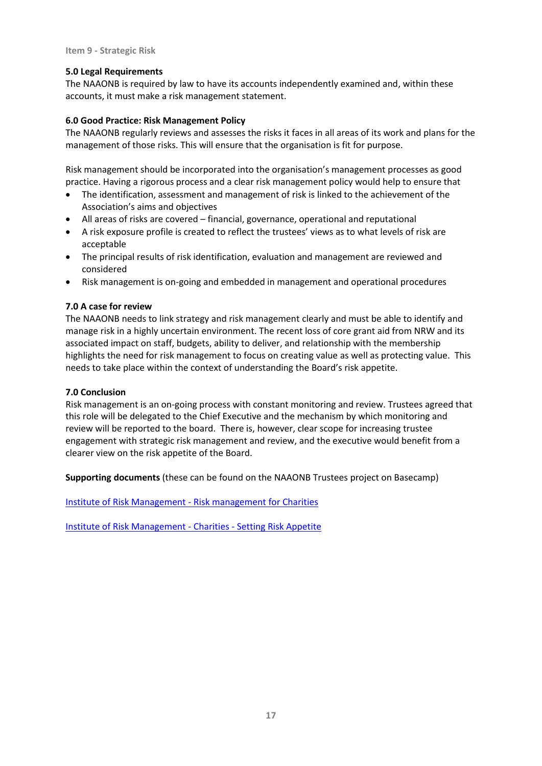#### **5.0 Legal Requirements**

The NAAONB is required by law to have its accounts independently examined and, within these accounts, it must make a risk management statement.

#### **6.0 Good Practice: Risk Management Policy**

The NAAONB regularly reviews and assesses the risks it faces in all areas of its work and plans for the management of those risks. This will ensure that the organisation is fit for purpose.

Risk management should be incorporated into the organisation's management processes as good practice. Having a rigorous process and a clear risk management policy would help to ensure that

- The identification, assessment and management of risk is linked to the achievement of the Association's aims and objectives
- All areas of risks are covered financial, governance, operational and reputational
- A risk exposure profile is created to reflect the trustees' views as to what levels of risk are acceptable
- The principal results of risk identification, evaluation and management are reviewed and considered
- Risk management is on-going and embedded in management and operational procedures

#### **7.0 A case for review**

The NAAONB needs to link strategy and risk management clearly and must be able to identify and manage risk in a highly uncertain environment. The recent loss of core grant aid from NRW and its associated impact on staff, budgets, ability to deliver, and relationship with the membership highlights the need for risk management to focus on creating value as well as protecting value. This needs to take place within the context of understanding the Board's risk appetite.

#### **7.0 Conclusion**

Risk management is an on-going process with constant monitoring and review. Trustees agreed that this role will be delegated to the Chief Executive and the mechanism by which monitoring and review will be reported to the board. There is, however, clear scope for increasing trustee engagement with strategic risk management and review, and the executive would benefit from a clearer view on the risk appetite of the Board.

**Supporting documents** (these can be found on the NAAONB Trustees project on Basecamp)

[Institute of Risk Management -](https://naaonb.basecamphq.com/projects/12975251/file/243193659/Institute%20of%20Risk%20Management%20-%20Risk%20management%20for%20Charities.pdf) Risk management for Charities

[Institute of Risk Management -](https://naaonb.basecamphq.com/projects/12975251/file/243193660/Institute%20of%20Risk%20Management%20-%20Charities%20-%20Setting%20Risk%20Appetite.pdf) Charities - Setting Risk Appetite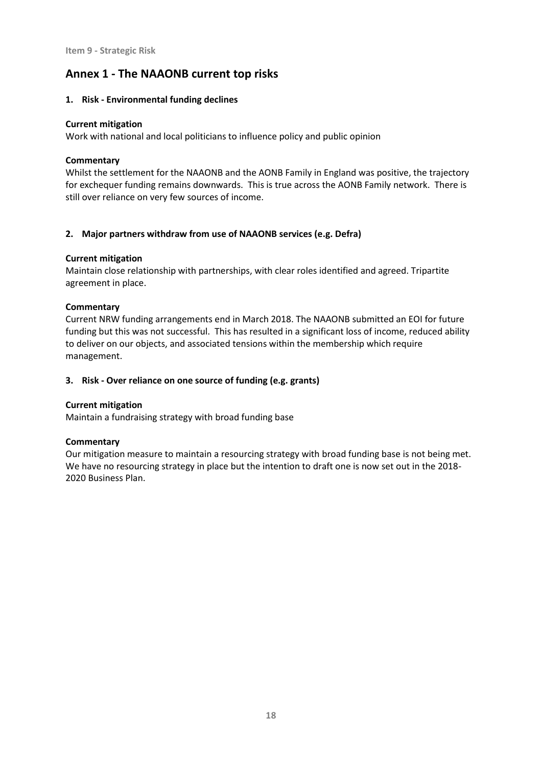## **Annex 1 - The NAAONB current top risks**

#### **1. Risk - Environmental funding declines**

#### **Current mitigation**

Work with national and local politicians to influence policy and public opinion

### **Commentary**

Whilst the settlement for the NAAONB and the AONB Family in England was positive, the trajectory for exchequer funding remains downwards. This is true across the AONB Family network. There is still over reliance on very few sources of income.

### **2. Major partners withdraw from use of NAAONB services (e.g. Defra)**

### **Current mitigation**

Maintain close relationship with partnerships, with clear roles identified and agreed. Tripartite agreement in place.

### **Commentary**

Current NRW funding arrangements end in March 2018. The NAAONB submitted an EOI for future funding but this was not successful. This has resulted in a significant loss of income, reduced ability to deliver on our objects, and associated tensions within the membership which require management.

## **3. Risk - Over reliance on one source of funding (e.g. grants)**

#### **Current mitigation**

Maintain a fundraising strategy with broad funding base

#### **Commentary**

Our mitigation measure to maintain a resourcing strategy with broad funding base is not being met. We have no resourcing strategy in place but the intention to draft one is now set out in the 2018- 2020 Business Plan.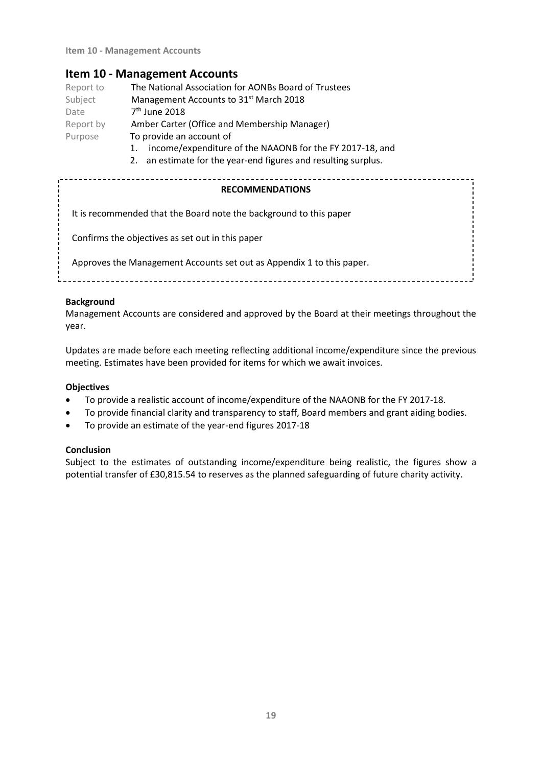## **Item 10 - Management Accounts**

| Report to | The National Association for AONBs Board of Trustees     |
|-----------|----------------------------------------------------------|
| Subject   | Management Accounts to 31 <sup>st</sup> March 2018       |
| Date      | 7 <sup>th</sup> June 2018                                |
| Report by | Amber Carter (Office and Membership Manager)             |
| Purpose   | To provide an account of                                 |
|           | income/expenditure of the NAAONB for the FY 2017-18, and |

2. an estimate for the year-end figures and resulting surplus.

| <b>RECOMMENDATIONS</b>                                                |
|-----------------------------------------------------------------------|
| It is recommended that the Board note the background to this paper    |
| Confirms the objectives as set out in this paper                      |
| Approves the Management Accounts set out as Appendix 1 to this paper. |
|                                                                       |

### **Background**

Management Accounts are considered and approved by the Board at their meetings throughout the year.

Updates are made before each meeting reflecting additional income/expenditure since the previous meeting. Estimates have been provided for items for which we await invoices.

## **Objectives**

- To provide a realistic account of income/expenditure of the NAAONB for the FY 2017-18.
- To provide financial clarity and transparency to staff, Board members and grant aiding bodies.
- To provide an estimate of the year-end figures 2017-18

#### **Conclusion**

Subject to the estimates of outstanding income/expenditure being realistic, the figures show a potential transfer of £30,815.54 to reserves as the planned safeguarding of future charity activity.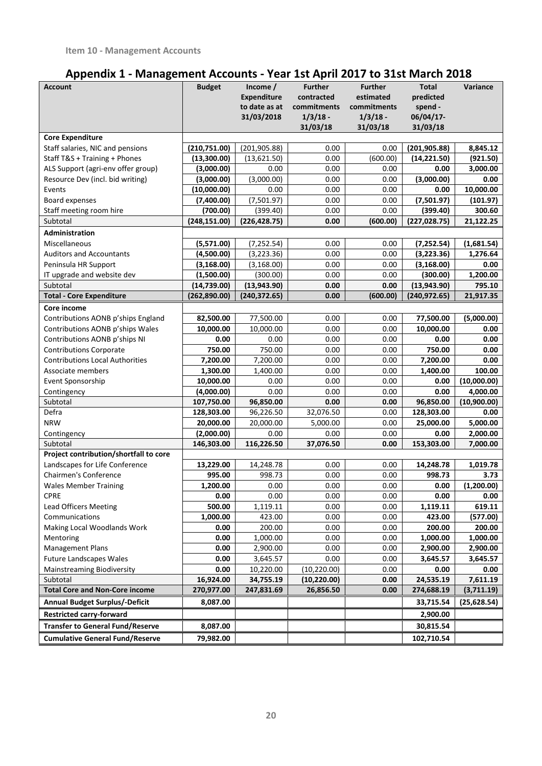# **Appendix 1 - Management Accounts - Year 1st April 2017 to 31st March 2018**

| <b>Account</b>                          | <b>Budget</b> | Income $/$<br><b>Expenditure</b><br>to date as at<br>31/03/2018 | <b>Further</b><br>contracted<br>commitments<br>$1/3/18$ -<br>31/03/18 | <b>Further</b><br>estimated<br>commitments<br>$1/3/18$ -<br>31/03/18 | <b>Total</b><br>predicted<br>spend -<br>06/04/17-<br>31/03/18 | Variance     |
|-----------------------------------------|---------------|-----------------------------------------------------------------|-----------------------------------------------------------------------|----------------------------------------------------------------------|---------------------------------------------------------------|--------------|
| <b>Core Expenditure</b>                 |               |                                                                 |                                                                       |                                                                      |                                                               |              |
| Staff salaries, NIC and pensions        | (210, 751.00) | (201, 905.88)                                                   | 0.00                                                                  | 0.00                                                                 | (201, 905.88)                                                 | 8,845.12     |
| Staff T&S + Training + Phones           | (13,300.00)   | (13,621.50)                                                     | 0.00                                                                  | (600.00)                                                             | (14, 221.50)                                                  | (921.50)     |
| ALS Support (agri-env offer group)      | (3,000.00)    | 0.00                                                            | 0.00                                                                  | 0.00                                                                 | 0.00                                                          | 3,000.00     |
| Resource Dev (incl. bid writing)        | (3,000.00)    | (3,000.00)                                                      | 0.00                                                                  | 0.00                                                                 | (3,000.00)                                                    | 0.00         |
| Events                                  | (10,000.00)   | 0.00                                                            | 0.00                                                                  | 0.00                                                                 | 0.00                                                          | 10,000.00    |
| Board expenses                          | (7,400.00)    | (7,501.97)                                                      | 0.00                                                                  | 0.00                                                                 | (7,501.97)                                                    | (101.97)     |
| Staff meeting room hire                 | (700.00)      | (399.40)                                                        | 0.00                                                                  | 0.00                                                                 | (399.40)                                                      | 300.60       |
| Subtotal                                | (248, 151.00) | (226, 428.75)                                                   | 0.00                                                                  | (600.00)                                                             | (227, 028.75)                                                 | 21,122.25    |
| Administration                          |               |                                                                 |                                                                       |                                                                      |                                                               |              |
| Miscellaneous                           | (5,571.00)    | (7, 252.54)                                                     | 0.00                                                                  | 0.00                                                                 | (7, 252.54)                                                   | (1,681.54)   |
| <b>Auditors and Accountants</b>         | (4,500.00)    | (3, 223.36)                                                     | 0.00                                                                  | 0.00                                                                 | (3,223.36)                                                    | 1,276.64     |
| Peninsula HR Support                    | (3, 168.00)   | (3, 168.00)                                                     | 0.00                                                                  | 0.00                                                                 | (3, 168.00)                                                   | 0.00         |
| IT upgrade and website dev              | (1,500.00)    | (300.00)                                                        | 0.00                                                                  | 0.00                                                                 | (300.00)                                                      | 1,200.00     |
| Subtotal                                | (14, 739.00)  | (13,943.90)                                                     | 0.00                                                                  | 0.00                                                                 | (13, 943.90)                                                  | 795.10       |
| <b>Total - Core Expenditure</b>         | (262, 890.00) | (240, 372.65)                                                   | 0.00                                                                  | (600.00)                                                             | (240, 972.65)                                                 | 21,917.35    |
| Core income                             |               |                                                                 |                                                                       |                                                                      |                                                               |              |
| Contributions AONB p'ships England      | 82,500.00     | 77,500.00                                                       | 0.00                                                                  | 0.00                                                                 | 77,500.00                                                     | (5,000.00)   |
| Contributions AONB p'ships Wales        | 10,000.00     | 10,000.00                                                       | 0.00                                                                  | 0.00                                                                 | 10,000.00                                                     | 0.00         |
| Contributions AONB p'ships NI           | 0.00          | 0.00                                                            | 0.00                                                                  | 0.00                                                                 | 0.00                                                          | 0.00         |
| <b>Contributions Corporate</b>          | 750.00        | 750.00                                                          | 0.00                                                                  | 0.00                                                                 | 750.00                                                        | 0.00         |
| <b>Contributions Local Authorities</b>  | 7,200.00      | 7,200.00                                                        | 0.00                                                                  | 0.00                                                                 | 7,200.00                                                      | 0.00         |
| Associate members                       | 1,300.00      | 1,400.00                                                        | 0.00                                                                  | 0.00                                                                 | 1,400.00                                                      | 100.00       |
| Event Sponsorship                       | 10,000.00     | 0.00                                                            | 0.00                                                                  | 0.00                                                                 | 0.00                                                          | (10,000.00)  |
| Contingency                             | (4,000.00)    | 0.00                                                            | 0.00                                                                  | 0.00                                                                 | 0.00                                                          | 4,000.00     |
| Subtotal                                | 107,750.00    | 96,850.00                                                       | 0.00                                                                  | 0.00                                                                 | 96,850.00                                                     | (10,900.00)  |
| Defra                                   | 128,303.00    | 96,226.50                                                       | 32,076.50                                                             | 0.00                                                                 | 128,303.00                                                    | 0.00         |
| <b>NRW</b>                              | 20,000.00     | 20,000.00                                                       | 5,000.00                                                              | 0.00                                                                 | 25,000.00                                                     | 5,000.00     |
| Contingency                             | (2,000.00)    | 0.00                                                            | 0.00                                                                  | 0.00                                                                 | 0.00                                                          | 2,000.00     |
| Subtotal                                | 146,303.00    | 116,226.50                                                      | 37,076.50                                                             | 0.00                                                                 | 153,303.00                                                    | 7.000.00     |
| Project contribution/shortfall to core  |               |                                                                 |                                                                       |                                                                      |                                                               |              |
| Landscapes for Life Conference          | 13,229.00     | 14,248.78                                                       | 0.00                                                                  | 0.00                                                                 | 14,248.78                                                     | 1,019.78     |
| Chairmen's Conference                   | 995.00        | 998.73                                                          | 0.00                                                                  | 0.00                                                                 | 998.73                                                        | 3.73         |
| <b>Wales Member Training</b>            | 1.200.00      | 0.00                                                            | 0.00                                                                  | 0.00                                                                 | 0.00                                                          | (1.200.00)   |
| CPRE                                    | 0.00          | 0.00                                                            | 0.00                                                                  | 0.00                                                                 | 0.00                                                          | 0.00         |
| <b>Lead Officers Meeting</b>            | 500.00        | 1,119.11                                                        | 0.00                                                                  | 0.00                                                                 | 1,119.11                                                      | 619.11       |
| Communications                          | 1,000.00      | 423.00                                                          | 0.00                                                                  | 0.00                                                                 | 423.00                                                        | (577.00)     |
| Making Local Woodlands Work             | 0.00          | 200.00                                                          | 0.00                                                                  | 0.00                                                                 | 200.00                                                        | 200.00       |
| Mentoring                               | 0.00          | 1,000.00                                                        | 0.00                                                                  | 0.00                                                                 | 1,000.00                                                      | 1,000.00     |
| <b>Management Plans</b>                 | 0.00          | 2,900.00                                                        | 0.00                                                                  | 0.00                                                                 | 2,900.00                                                      | 2,900.00     |
| <b>Future Landscapes Wales</b>          | 0.00          | 3,645.57                                                        | 0.00                                                                  | 0.00                                                                 | 3,645.57                                                      | 3,645.57     |
| <b>Mainstreaming Biodiversity</b>       | 0.00          | 10,220.00                                                       | (10, 220.00)                                                          | 0.00                                                                 | 0.00                                                          | 0.00         |
| Subtotal                                | 16,924.00     | 34,755.19                                                       | (10, 220.00)                                                          | 0.00                                                                 | 24,535.19                                                     | 7,611.19     |
| <b>Total Core and Non-Core income</b>   | 270,977.00    | 247,831.69                                                      | 26,856.50                                                             | 0.00                                                                 | 274,688.19                                                    | (3,711.19)   |
| <b>Annual Budget Surplus/-Deficit</b>   | 8,087.00      |                                                                 |                                                                       |                                                                      | 33,715.54                                                     | (25, 628.54) |
| <b>Restricted carry-forward</b>         |               |                                                                 |                                                                       |                                                                      | 2,900.00                                                      |              |
| <b>Transfer to General Fund/Reserve</b> | 8,087.00      |                                                                 |                                                                       |                                                                      | 30,815.54                                                     |              |
| <b>Cumulative General Fund/Reserve</b>  | 79,982.00     |                                                                 |                                                                       |                                                                      | 102,710.54                                                    |              |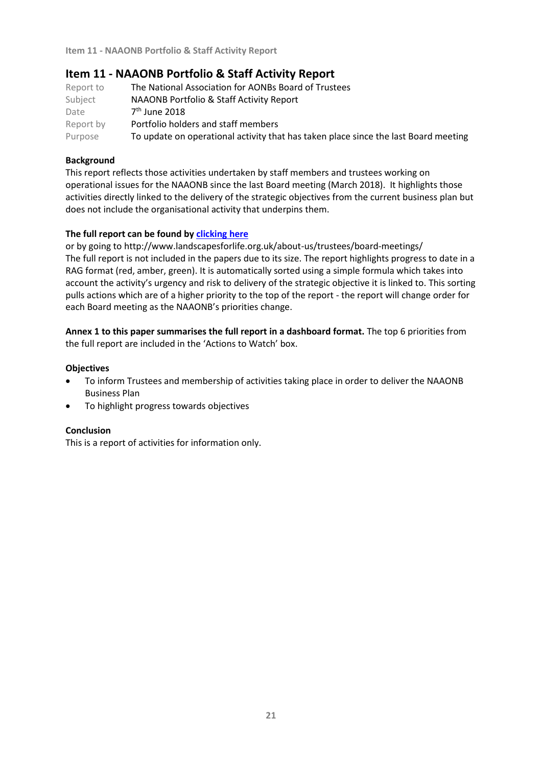## **Item 11 - NAAONB Portfolio & Staff Activity Report**

| Report to | The National Association for AONBs Board of Trustees                                |
|-----------|-------------------------------------------------------------------------------------|
| Subject   | NAAONB Portfolio & Staff Activity Report                                            |
| Date      | $7th$ June 2018                                                                     |
| Report by | Portfolio holders and staff members                                                 |
| Purpose   | To update on operational activity that has taken place since the last Board meeting |

## **Background**

This report reflects those activities undertaken by staff members and trustees working on operational issues for the NAAONB since the last Board meeting (March 2018). It highlights those activities directly linked to the delivery of the strategic objectives from the current business plan but does not include the organisational activity that underpins them.

### **The full report can be found by [clicking here](http://www.landscapesforlife.org.uk/wp-content/uploads/2018/05/77th-RAG-07.06.2018.pdf)**

or by going to http://www.landscapesforlife.org.uk/about-us/trustees/board-meetings/ The full report is not included in the papers due to its size. The report highlights progress to date in a RAG format (red, amber, green). It is automatically sorted using a simple formula which takes into account the activity's urgency and risk to delivery of the strategic objective it is linked to. This sorting pulls actions which are of a higher priority to the top of the report - the report will change order for each Board meeting as the NAAONB's priorities change.

**Annex 1 to this paper summarises the full report in a dashboard format.** The top 6 priorities from the full report are included in the 'Actions to Watch' box.

#### **Objectives**

- To inform Trustees and membership of activities taking place in order to deliver the NAAONB Business Plan
- To highlight progress towards objectives

#### **Conclusion**

This is a report of activities for information only.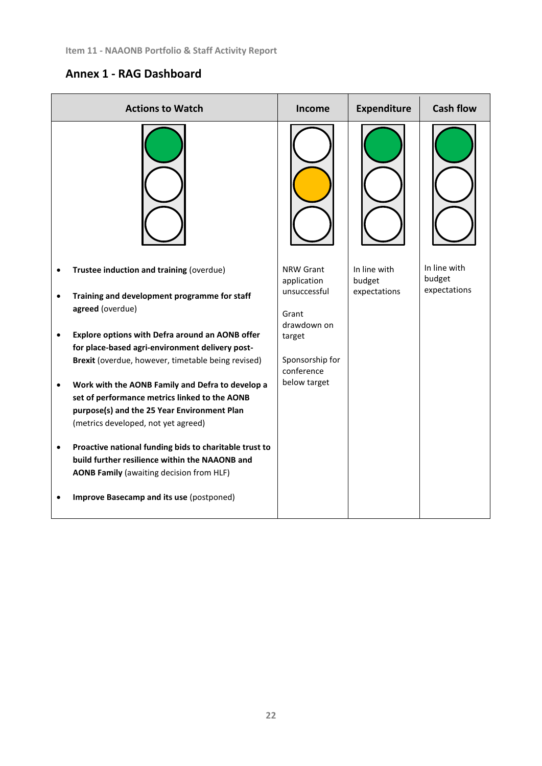# **Annex 1 - RAG Dashboard**

| <b>Actions to Watch</b>                                                                                                                                                                 | <b>Income</b>                        | <b>Expenditure</b>     | <b>Cash flow</b>       |
|-----------------------------------------------------------------------------------------------------------------------------------------------------------------------------------------|--------------------------------------|------------------------|------------------------|
|                                                                                                                                                                                         |                                      |                        |                        |
| Trustee induction and training (overdue)                                                                                                                                                | NRW Grant<br>application             | In line with<br>budget | In line with<br>budget |
| Training and development programme for staff<br>agreed (overdue)                                                                                                                        | unsuccessful<br>Grant<br>drawdown on | expectations           | expectations           |
| Explore options with Defra around an AONB offer<br>for place-based agri-environment delivery post-                                                                                      | target                               |                        |                        |
| Brexit (overdue, however, timetable being revised)                                                                                                                                      | Sponsorship for<br>conference        |                        |                        |
| Work with the AONB Family and Defra to develop a<br>set of performance metrics linked to the AONB<br>purpose(s) and the 25 Year Environment Plan<br>(metrics developed, not yet agreed) | below target                         |                        |                        |
| Proactive national funding bids to charitable trust to<br>build further resilience within the NAAONB and<br><b>AONB Family (awaiting decision from HLF)</b>                             |                                      |                        |                        |
| Improve Basecamp and its use (postponed)                                                                                                                                                |                                      |                        |                        |